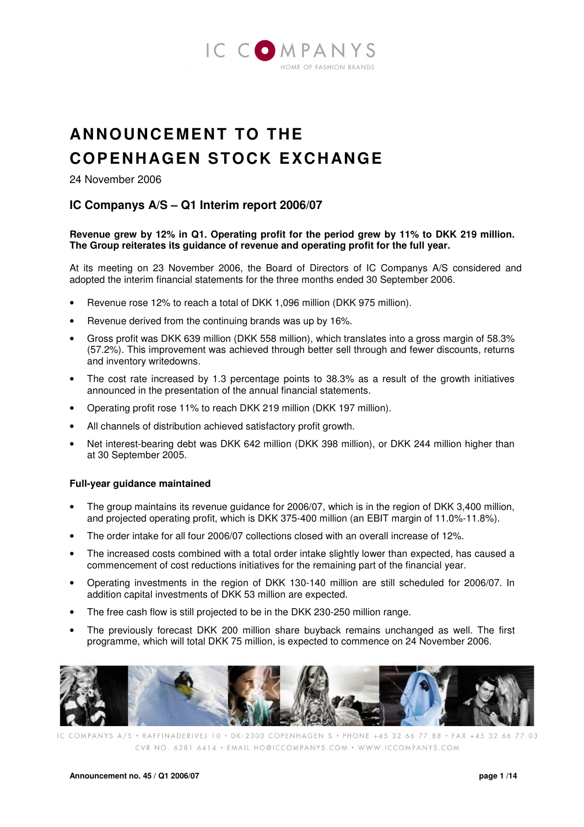

# **ANNOUNCEMENT TO THE COPENHAGEN STOCK EXCH ANGE**

24 November 2006

# **IC Companys A/S – Q1 Interim report 2006/07**

#### **Revenue grew by 12% in Q1. Operating profit for the period grew by 11% to DKK 219 million. The Group reiterates its guidance of revenue and operating profit for the full year.**

At its meeting on 23 November 2006, the Board of Directors of IC Companys A/S considered and adopted the interim financial statements for the three months ended 30 September 2006.

- Revenue rose 12% to reach a total of DKK 1,096 million (DKK 975 million).
- Revenue derived from the continuing brands was up by 16%.
- Gross profit was DKK 639 million (DKK 558 million), which translates into a gross margin of 58.3% (57.2%). This improvement was achieved through better sell through and fewer discounts, returns and inventory writedowns.
- The cost rate increased by 1.3 percentage points to 38.3% as a result of the growth initiatives announced in the presentation of the annual financial statements.
- Operating profit rose 11% to reach DKK 219 million (DKK 197 million).
- All channels of distribution achieved satisfactory profit growth.
- Net interest-bearing debt was DKK 642 million (DKK 398 million), or DKK 244 million higher than at 30 September 2005.

#### **Full-year guidance maintained**

- The group maintains its revenue guidance for 2006/07, which is in the region of DKK 3,400 million, and projected operating profit, which is DKK 375-400 million (an EBIT margin of 11.0%-11.8%).
- The order intake for all four 2006/07 collections closed with an overall increase of 12%.
- The increased costs combined with a total order intake slightly lower than expected, has caused a commencement of cost reductions initiatives for the remaining part of the financial year.
- Operating investments in the region of DKK 130-140 million are still scheduled for 2006/07. In addition capital investments of DKK 53 million are expected.
- The free cash flow is still projected to be in the DKK 230-250 million range.
- The previously forecast DKK 200 million share buyback remains unchanged as well. The first programme, which will total DKK 75 million, is expected to commence on 24 November 2006.



COMPANYS A/S · RAFFINADERIVEJ 10 · DK-2300 COPENHAGEN S · PHONE +45 32 66 77 88 · FAX +45 32 66 77 03 CVR NO. 6281 6414 · EMAIL HO@ICCOMPANYS.COM · WWW.ICCOMPANYS.COM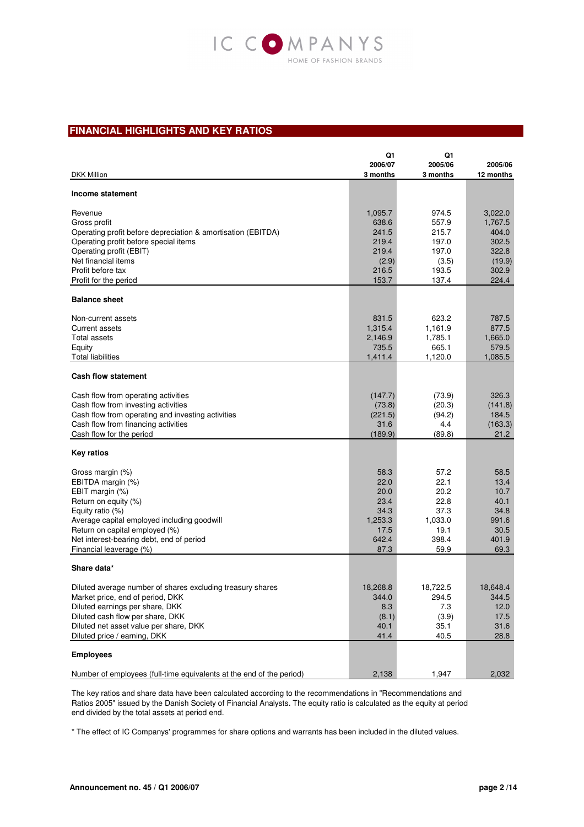

#### **FINANCIAL HIGHLIGHTS AND KEY RATIOS**

|                                                                      | Q1               | Q1               |                |
|----------------------------------------------------------------------|------------------|------------------|----------------|
|                                                                      | 2006/07          | 2005/06          | 2005/06        |
| <b>DKK Million</b>                                                   | 3 months         | 3 months         | 12 months      |
| Income statement                                                     |                  |                  |                |
| Revenue                                                              | 1,095.7          | 974.5            | 3,022.0        |
| Gross profit                                                         | 638.6            | 557.9            | 1,767.5        |
| Operating profit before depreciation & amortisation (EBITDA)         | 241.5            | 215.7            | 404.0          |
| Operating profit before special items                                | 219.4            | 197.0            | 302.5          |
| Operating profit (EBIT)                                              | 219.4            | 197.0            | 322.8          |
| Net financial items                                                  | (2.9)            | (3.5)            | (19.9)         |
| Profit before tax                                                    | 216.5            | 193.5            | 302.9          |
| Profit for the period                                                | 153.7            | 137.4            | 224.4          |
| <b>Balance sheet</b>                                                 |                  |                  |                |
|                                                                      |                  |                  |                |
| Non-current assets<br><b>Current assets</b>                          | 831.5            | 623.2            | 787.5<br>877.5 |
| <b>Total assets</b>                                                  | 1,315.4          | 1,161.9          | 1,665.0        |
| Equity                                                               | 2,146.9<br>735.5 | 1,785.1<br>665.1 | 579.5          |
| <b>Total liabilities</b>                                             | 1,411.4          | 1,120.0          | 1,085.5        |
|                                                                      |                  |                  |                |
| <b>Cash flow statement</b>                                           |                  |                  |                |
| Cash flow from operating activities                                  | (147.7)          | (73.9)           | 326.3          |
| Cash flow from investing activities                                  | (73.8)           | (20.3)           | (141.8)        |
| Cash flow from operating and investing activities                    | (221.5)          | (94.2)           | 184.5          |
| Cash flow from financing activities                                  | 31.6             | 4.4              | (163.3)        |
| Cash flow for the period                                             | (189.9)          | (89.8)           | 21.2           |
| <b>Key ratios</b>                                                    |                  |                  |                |
| Gross margin (%)                                                     | 58.3             | 57.2             | 58.5           |
| EBITDA margin (%)                                                    | 22.0             | 22.1             | 13.4           |
| EBIT margin (%)                                                      | 20.0             | 20.2             | 10.7           |
| Return on equity (%)                                                 | 23.4             | 22.8             | 40.1           |
| Equity ratio (%)                                                     | 34.3             | 37.3             | 34.8           |
| Average capital employed including goodwill                          | 1,253.3          | 1,033.0          | 991.6          |
| Return on capital employed (%)                                       | 17.5             | 19.1             | 30.5           |
| Net interest-bearing debt, end of period                             | 642.4            | 398.4            | 401.9          |
| Financial leaverage (%)                                              | 87.3             | 59.9             | 69.3           |
| Share data*                                                          |                  |                  |                |
| Diluted average number of shares excluding treasury shares           | 18,268.8         | 18,722.5         | 18,648.4       |
| Market price, end of period, DKK                                     | 344.0            | 294.5            | 344.5          |
| Diluted earnings per share, DKK                                      | 8.3              | 7.3              | 12.0           |
| Diluted cash flow per share, DKK                                     | (8.1)            | (3.9)            | 17.5           |
| Diluted net asset value per share, DKK                               | 40.1             | 35.1             | 31.6           |
| Diluted price / earning, DKK                                         | 41.4             | 40.5             | 28.8           |
| <b>Employees</b>                                                     |                  |                  |                |
| Number of employees (full-time equivalents at the end of the period) | 2,138            | 1,947            | 2,032          |

The key ratios and share data have been calculated according to the recommendations in "Recommendations and Ratios 2005" issued by the Danish Society of Financial Analysts. The equity ratio is calculated as the equity at period end divided by the total assets at period end.

\* The effect of IC Companys' programmes for share options and warrants has been included in the diluted values.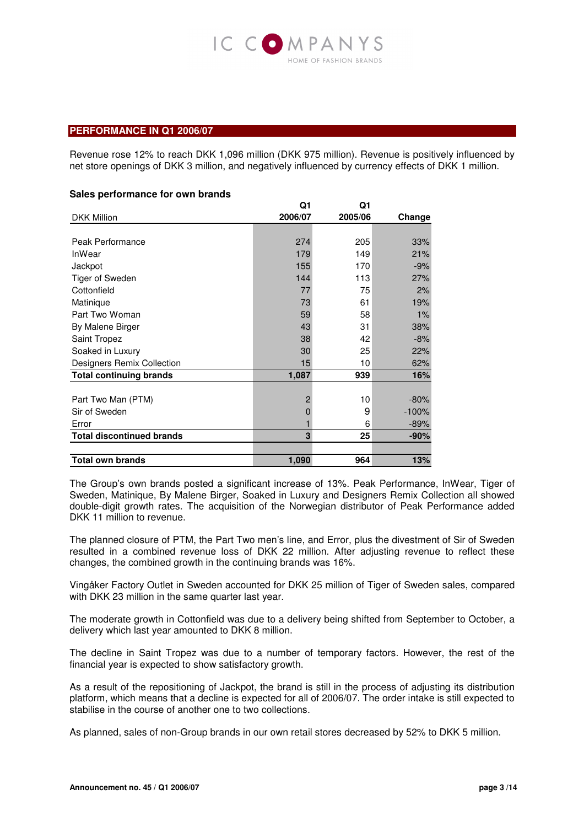

#### **PERFORMANCE IN Q1 2006/07**

Revenue rose 12% to reach DKK 1,096 million (DKK 975 million). Revenue is positively influenced by net store openings of DKK 3 million, and negatively influenced by currency effects of DKK 1 million.

#### **Sales performance for own brands**

|                                   | Q1             | Q1      |         |
|-----------------------------------|----------------|---------|---------|
| <b>DKK Million</b>                | 2006/07        | 2005/06 | Change  |
|                                   |                |         |         |
| Peak Performance                  | 274            | 205     | 33%     |
| <b>InWear</b>                     | 179            | 149     | 21%     |
| Jackpot                           | 155            | 170     | $-9%$   |
| Tiger of Sweden                   | 144            | 113     | 27%     |
| Cottonfield                       | 77             | 75      | 2%      |
| Matinique                         | 73             | 61      | 19%     |
| Part Two Woman                    | 59             | 58      | 1%      |
| By Malene Birger                  | 43             | 31      | 38%     |
| Saint Tropez                      | 38             | 42      | $-8%$   |
| Soaked in Luxury                  | 30             | 25      | 22%     |
| <b>Designers Remix Collection</b> | 15             | 10      | 62%     |
| <b>Total continuing brands</b>    | 1,087          | 939     | 16%     |
|                                   |                |         |         |
| Part Two Man (PTM)                | $\overline{2}$ | 10      | $-80%$  |
| Sir of Sweden                     | 0              | 9       | $-100%$ |
| Error                             |                | 6       | $-89%$  |
| <b>Total discontinued brands</b>  | 3              | 25      | $-90%$  |
|                                   |                |         |         |
| <b>Total own brands</b>           | 1,090          | 964     | 13%     |

The Group's own brands posted a significant increase of 13%. Peak Performance, InWear, Tiger of Sweden, Matinique, By Malene Birger, Soaked in Luxury and Designers Remix Collection all showed double-digit growth rates. The acquisition of the Norwegian distributor of Peak Performance added DKK 11 million to revenue.

The planned closure of PTM, the Part Two men's line, and Error, plus the divestment of Sir of Sweden resulted in a combined revenue loss of DKK 22 million. After adjusting revenue to reflect these changes, the combined growth in the continuing brands was 16%.

Vingåker Factory Outlet in Sweden accounted for DKK 25 million of Tiger of Sweden sales, compared with DKK 23 million in the same quarter last year.

The moderate growth in Cottonfield was due to a delivery being shifted from September to October, a delivery which last year amounted to DKK 8 million.

The decline in Saint Tropez was due to a number of temporary factors. However, the rest of the financial year is expected to show satisfactory growth.

As a result of the repositioning of Jackpot, the brand is still in the process of adjusting its distribution platform, which means that a decline is expected for all of 2006/07. The order intake is still expected to stabilise in the course of another one to two collections.

As planned, sales of non-Group brands in our own retail stores decreased by 52% to DKK 5 million.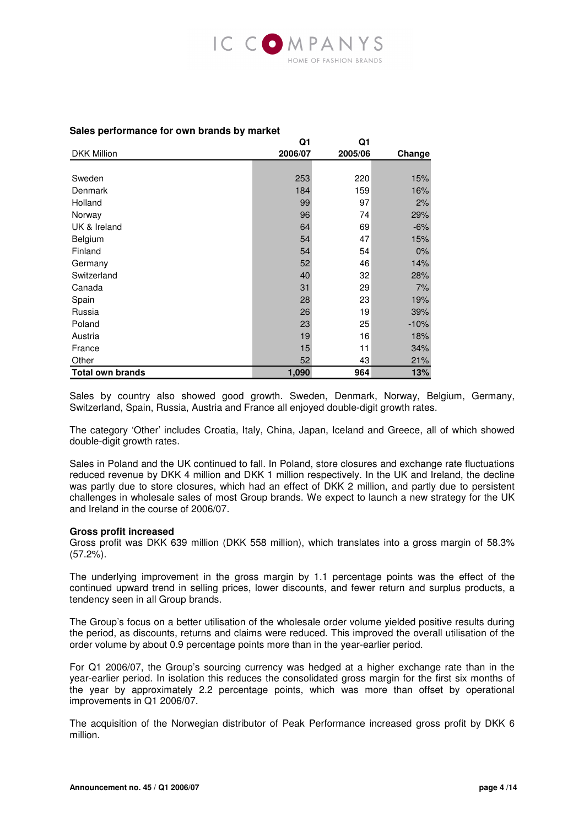

#### DKK Million **Q1 2006/07 Q1 2005/06 Change** Sweden 253 220 15% Denmark 184 159 16% Holland 99 97 2% Norway 96 74 29% UK & Ireland  $64$  69  $-6\%$ Belgium 54 47 15% Finland  $54$  54  $54$  0% Germany 52 46 14% Switzerland 28% 32 28% Canada 31 29 7% Spain 28 23 19% Russia 26 19 39% Poland 23 25 -10% Austria 19 16 18% **France** 2008 **15** 11 34% Other 52 43 21% **Total own brands 1,090 964 13%**

#### **Sales performance for own brands by market**

Sales by country also showed good growth. Sweden, Denmark, Norway, Belgium, Germany, Switzerland, Spain, Russia, Austria and France all enjoyed double-digit growth rates.

The category 'Other' includes Croatia, Italy, China, Japan, Iceland and Greece, all of which showed double-digit growth rates.

Sales in Poland and the UK continued to fall. In Poland, store closures and exchange rate fluctuations reduced revenue by DKK 4 million and DKK 1 million respectively. In the UK and Ireland, the decline was partly due to store closures, which had an effect of DKK 2 million, and partly due to persistent challenges in wholesale sales of most Group brands. We expect to launch a new strategy for the UK and Ireland in the course of 2006/07.

#### **Gross profit increased**

Gross profit was DKK 639 million (DKK 558 million), which translates into a gross margin of 58.3% (57.2%).

The underlying improvement in the gross margin by 1.1 percentage points was the effect of the continued upward trend in selling prices, lower discounts, and fewer return and surplus products, a tendency seen in all Group brands.

The Group's focus on a better utilisation of the wholesale order volume yielded positive results during the period, as discounts, returns and claims were reduced. This improved the overall utilisation of the order volume by about 0.9 percentage points more than in the year-earlier period.

For Q1 2006/07, the Group's sourcing currency was hedged at a higher exchange rate than in the year-earlier period. In isolation this reduces the consolidated gross margin for the first six months of the year by approximately 2.2 percentage points, which was more than offset by operational improvements in Q1 2006/07.

The acquisition of the Norwegian distributor of Peak Performance increased gross profit by DKK 6 million.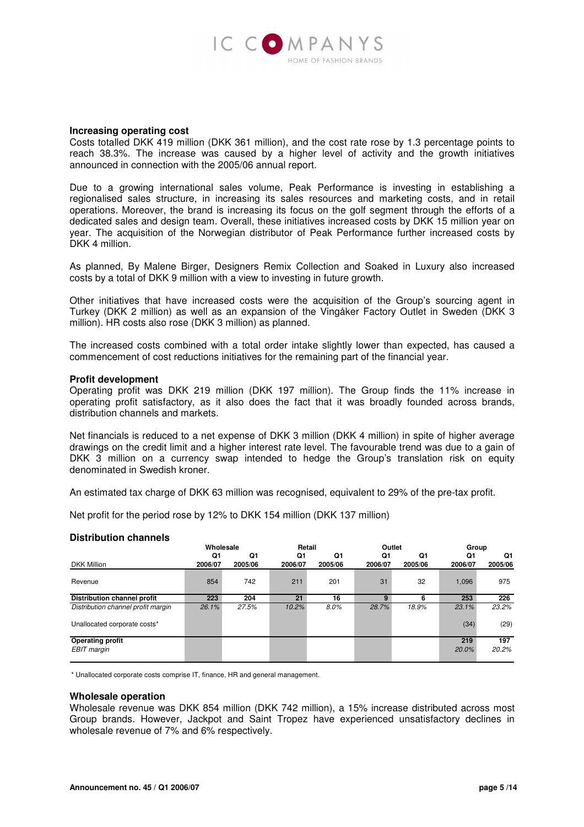

#### **Increasing operating cost**

Costs totalled DKK 419 million (DKK 361 million), and the cost rate rose by 1.3 percentage points to reach 38.3%. The increase was caused by a higher level of activity and the growth initiatives announced in connection with the 2005/06 annual report.

Due to a growing international sales volume, Peak Performance is investing in establishing a regionalised sales structure, in increasing its sales resources and marketing costs, and in retail operations. Moreover, the brand is increasing its focus on the golf segment through the efforts of a dedicated sales and design team. Overall, these initiatives increased costs by DKK 15 million year on year. The acquisition of the Norwegian distributor of Peak Performance further increased costs by DKK 4 million.

As planned, By Malene Birger, Designers Remix Collection and Soaked in Luxury also increased costs by a total of DKK 9 million with a view to investing in future growth.

Other initiatives that have increased costs were the acquisition of the Group's sourcing agent in Turkey (DKK 2 million) as well as an expansion of the Vingåker Factory Outlet in Sweden (DKK 3 million). HR costs also rose (DKK 3 million) as planned.

The increased costs combined with a total order intake slightly lower than expected, has caused a commencement of cost reductions initiatives for the remaining part of the financial year.

#### **Profit development**

Operating profit was DKK 219 million (DKK 197 million). The Group finds the 11% increase in operating profit satisfactory, as it also does the fact that it was broadly founded across brands, distribution channels and markets.

Net financials is reduced to a net expense of DKK 3 million (DKK 4 million) in spite of higher average drawings on the credit limit and a higher interest rate level. The favourable trend was due to a gain of DKK 3 million on a currency swap intended to hedge the Group's translation risk on equity denominated in Swedish kroner.

An estimated tax charge of DKK 63 million was recognised, equivalent to 29% of the pre-tax profit.

Net profit for the period rose by 12% to DKK 154 million (DKK 137 million)

#### **Distribution channels**

|                                        | Wholesale     |               | Retail        |               | Outlet        |               | Group         |               |
|----------------------------------------|---------------|---------------|---------------|---------------|---------------|---------------|---------------|---------------|
| <b>DKK Million</b>                     | Q1<br>2006/07 | Q1<br>2005/06 | Q1<br>2006/07 | Q1<br>2005/06 | Q1<br>2006/07 | Q1<br>2005/06 | Q1<br>2006/07 | Q1<br>2005/06 |
| Revenue                                | 854           | 742           | 211           | 201           | 31            | 32            | 1.096         | 975           |
| Distribution channel profit            | 223           | 204           | 21            | 16            | q             | 6             | 253           | 226           |
| Distribution channel profit margin     | 26.1%         | 27.5%         | 10.2%         | $8.0\%$       | 28.7%         | 18.9%         | 23.1%         | 23.2%         |
| Unallocated corporate costs*           |               |               |               |               |               |               | (34)          | (29)          |
| <b>Operating profit</b><br>EBIT margin |               |               |               |               |               |               | 219<br>20.0%  | 197<br>20.2%  |

\* Unallocated corporate costs comprise IT, finance, HR and general management.

#### **Wholesale operation**

Wholesale revenue was DKK 854 million (DKK 742 million), a 15% increase distributed across most Group brands. However, Jackpot and Saint Tropez have experienced unsatisfactory declines in wholesale revenue of 7% and 6% respectively.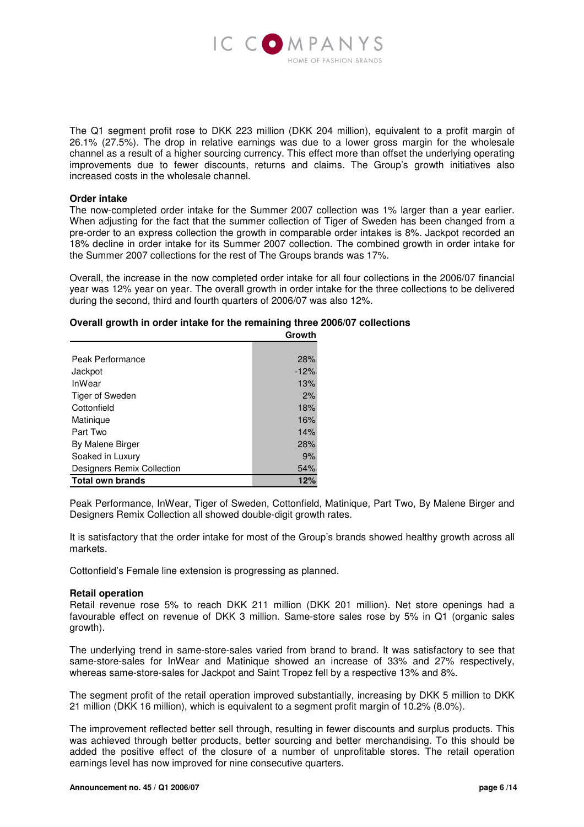

The Q1 segment profit rose to DKK 223 million (DKK 204 million), equivalent to a profit margin of 26.1% (27.5%). The drop in relative earnings was due to a lower gross margin for the wholesale channel as a result of a higher sourcing currency. This effect more than offset the underlying operating improvements due to fewer discounts, returns and claims. The Group's growth initiatives also increased costs in the wholesale channel.

#### **Order intake**

The now-completed order intake for the Summer 2007 collection was 1% larger than a year earlier. When adjusting for the fact that the summer collection of Tiger of Sweden has been changed from a pre-order to an express collection the growth in comparable order intakes is 8%. Jackpot recorded an 18% decline in order intake for its Summer 2007 collection. The combined growth in order intake for the Summer 2007 collections for the rest of The Groups brands was 17%.

Overall, the increase in the now completed order intake for all four collections in the 2006/07 financial year was 12% year on year. The overall growth in order intake for the three collections to be delivered during the second, third and fourth quarters of 2006/07 was also 12%.

#### **Overall growth in order intake for the remaining three 2006/07 collections**

|                            | Growth |
|----------------------------|--------|
|                            |        |
| Peak Performance           | 28%    |
| Jackpot                    | $-12%$ |
| <b>InWear</b>              | 13%    |
| Tiger of Sweden            | 2%     |
| Cottonfield                | 18%    |
| Matinique                  | 16%    |
| Part Two                   | 14%    |
| By Malene Birger           | 28%    |
| Soaked in Luxury           | 9%     |
| Designers Remix Collection | 54%    |
| <b>Total own brands</b>    | 12%    |

Peak Performance, InWear, Tiger of Sweden, Cottonfield, Matinique, Part Two, By Malene Birger and Designers Remix Collection all showed double-digit growth rates.

It is satisfactory that the order intake for most of the Group's brands showed healthy growth across all markets.

Cottonfield's Female line extension is progressing as planned.

#### **Retail operation**

Retail revenue rose 5% to reach DKK 211 million (DKK 201 million). Net store openings had a favourable effect on revenue of DKK 3 million. Same-store sales rose by 5% in Q1 (organic sales growth).

The underlying trend in same-store-sales varied from brand to brand. It was satisfactory to see that same-store-sales for InWear and Matinique showed an increase of 33% and 27% respectively, whereas same-store-sales for Jackpot and Saint Tropez fell by a respective 13% and 8%.

The segment profit of the retail operation improved substantially, increasing by DKK 5 million to DKK 21 million (DKK 16 million), which is equivalent to a segment profit margin of 10.2% (8.0%).

The improvement reflected better sell through, resulting in fewer discounts and surplus products. This was achieved through better products, better sourcing and better merchandising. To this should be added the positive effect of the closure of a number of unprofitable stores. The retail operation earnings level has now improved for nine consecutive quarters.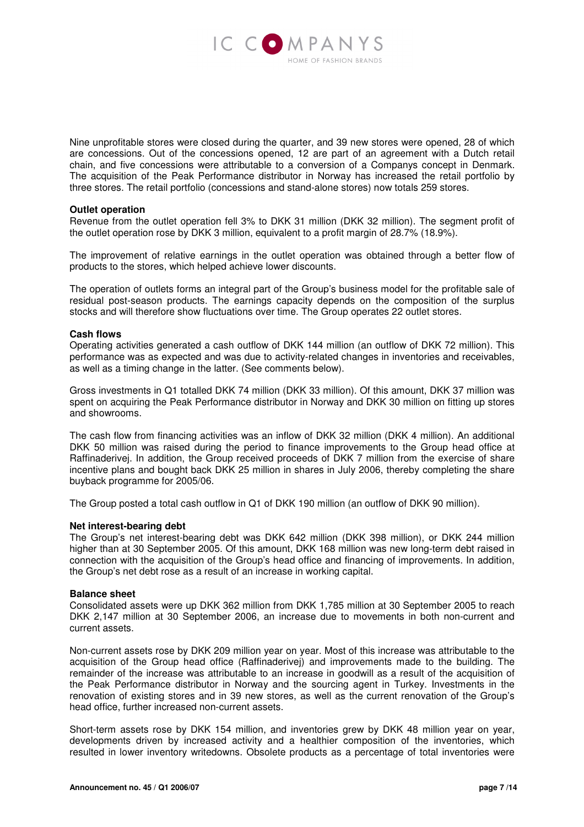

Nine unprofitable stores were closed during the quarter, and 39 new stores were opened, 28 of which are concessions. Out of the concessions opened, 12 are part of an agreement with a Dutch retail chain, and five concessions were attributable to a conversion of a Companys concept in Denmark. The acquisition of the Peak Performance distributor in Norway has increased the retail portfolio by three stores. The retail portfolio (concessions and stand-alone stores) now totals 259 stores.

#### **Outlet operation**

Revenue from the outlet operation fell 3% to DKK 31 million (DKK 32 million). The segment profit of the outlet operation rose by DKK 3 million, equivalent to a profit margin of 28.7% (18.9%).

The improvement of relative earnings in the outlet operation was obtained through a better flow of products to the stores, which helped achieve lower discounts.

The operation of outlets forms an integral part of the Group's business model for the profitable sale of residual post-season products. The earnings capacity depends on the composition of the surplus stocks and will therefore show fluctuations over time. The Group operates 22 outlet stores.

#### **Cash flows**

Operating activities generated a cash outflow of DKK 144 million (an outflow of DKK 72 million). This performance was as expected and was due to activity-related changes in inventories and receivables, as well as a timing change in the latter. (See comments below).

Gross investments in Q1 totalled DKK 74 million (DKK 33 million). Of this amount, DKK 37 million was spent on acquiring the Peak Performance distributor in Norway and DKK 30 million on fitting up stores and showrooms.

The cash flow from financing activities was an inflow of DKK 32 million (DKK 4 million). An additional DKK 50 million was raised during the period to finance improvements to the Group head office at Raffinaderivej. In addition, the Group received proceeds of DKK 7 million from the exercise of share incentive plans and bought back DKK 25 million in shares in July 2006, thereby completing the share buyback programme for 2005/06.

The Group posted a total cash outflow in Q1 of DKK 190 million (an outflow of DKK 90 million).

#### **Net interest-bearing debt**

The Group's net interest-bearing debt was DKK 642 million (DKK 398 million), or DKK 244 million higher than at 30 September 2005. Of this amount, DKK 168 million was new long-term debt raised in connection with the acquisition of the Group's head office and financing of improvements. In addition, the Group's net debt rose as a result of an increase in working capital.

#### **Balance sheet**

Consolidated assets were up DKK 362 million from DKK 1,785 million at 30 September 2005 to reach DKK 2,147 million at 30 September 2006, an increase due to movements in both non-current and current assets.

Non-current assets rose by DKK 209 million year on year. Most of this increase was attributable to the acquisition of the Group head office (Raffinaderivej) and improvements made to the building. The remainder of the increase was attributable to an increase in goodwill as a result of the acquisition of the Peak Performance distributor in Norway and the sourcing agent in Turkey. Investments in the renovation of existing stores and in 39 new stores, as well as the current renovation of the Group's head office, further increased non-current assets.

Short-term assets rose by DKK 154 million, and inventories grew by DKK 48 million year on year, developments driven by increased activity and a healthier composition of the inventories, which resulted in lower inventory writedowns. Obsolete products as a percentage of total inventories were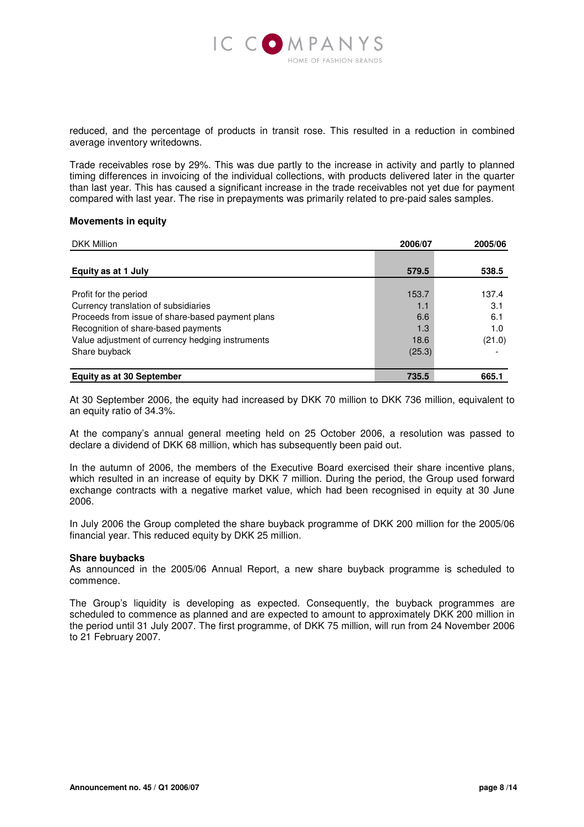

reduced, and the percentage of products in transit rose. This resulted in a reduction in combined average inventory writedowns.

Trade receivables rose by 29%. This was due partly to the increase in activity and partly to planned timing differences in invoicing of the individual collections, with products delivered later in the quarter than last year. This has caused a significant increase in the trade receivables not yet due for payment compared with last year. The rise in prepayments was primarily related to pre-paid sales samples.

#### **Movements in equity**

| <b>DKK Million</b>                               | 2006/07 | 2005/06 |  |
|--------------------------------------------------|---------|---------|--|
|                                                  |         |         |  |
| Equity as at 1 July                              | 579.5   | 538.5   |  |
|                                                  |         |         |  |
| Profit for the period                            | 153.7   | 137.4   |  |
| Currency translation of subsidiaries             | 1.1     | 3.1     |  |
| Proceeds from issue of share-based payment plans | 6.6     | 6.1     |  |
| Recognition of share-based payments              | 1.3     | 1.0     |  |
| Value adjustment of currency hedging instruments | 18.6    | (21.0)  |  |
| Share buyback                                    | (25.3)  |         |  |
| <b>Equity as at 30 September</b>                 | 735.5   | 665.1   |  |

At 30 September 2006, the equity had increased by DKK 70 million to DKK 736 million, equivalent to an equity ratio of 34.3%.

At the company's annual general meeting held on 25 October 2006, a resolution was passed to declare a dividend of DKK 68 million, which has subsequently been paid out.

In the autumn of 2006, the members of the Executive Board exercised their share incentive plans, which resulted in an increase of equity by DKK 7 million. During the period, the Group used forward exchange contracts with a negative market value, which had been recognised in equity at 30 June 2006.

In July 2006 the Group completed the share buyback programme of DKK 200 million for the 2005/06 financial year. This reduced equity by DKK 25 million.

#### **Share buybacks**

As announced in the 2005/06 Annual Report, a new share buyback programme is scheduled to commence.

The Group's liquidity is developing as expected. Consequently, the buyback programmes are scheduled to commence as planned and are expected to amount to approximately DKK 200 million in the period until 31 July 2007. The first programme, of DKK 75 million, will run from 24 November 2006 to 21 February 2007.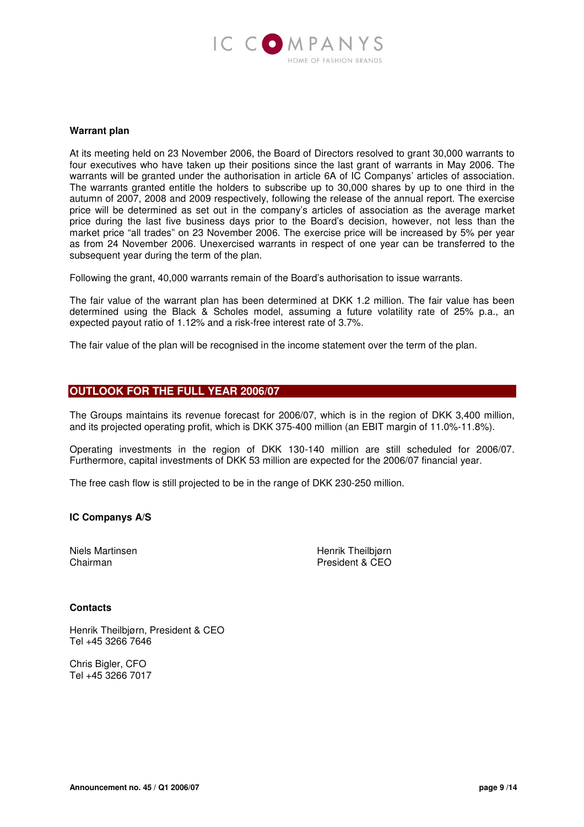

#### **Warrant plan**

At its meeting held on 23 November 2006, the Board of Directors resolved to grant 30,000 warrants to four executives who have taken up their positions since the last grant of warrants in May 2006. The warrants will be granted under the authorisation in article 6A of IC Companys' articles of association. The warrants granted entitle the holders to subscribe up to 30,000 shares by up to one third in the autumn of 2007, 2008 and 2009 respectively, following the release of the annual report. The exercise price will be determined as set out in the company's articles of association as the average market price during the last five business days prior to the Board's decision, however, not less than the market price "all trades" on 23 November 2006. The exercise price will be increased by 5% per year as from 24 November 2006. Unexercised warrants in respect of one year can be transferred to the subsequent year during the term of the plan.

Following the grant, 40,000 warrants remain of the Board's authorisation to issue warrants.

The fair value of the warrant plan has been determined at DKK 1.2 million. The fair value has been determined using the Black & Scholes model, assuming a future volatility rate of 25% p.a., an expected payout ratio of 1.12% and a risk-free interest rate of 3.7%.

The fair value of the plan will be recognised in the income statement over the term of the plan.

#### **OUTLOOK FOR THE FULL YEAR 2006/07**

The Groups maintains its revenue forecast for 2006/07, which is in the region of DKK 3,400 million, and its projected operating profit, which is DKK 375-400 million (an EBIT margin of 11.0%-11.8%).

Operating investments in the region of DKK 130-140 million are still scheduled for 2006/07. Furthermore, capital investments of DKK 53 million are expected for the 2006/07 financial year.

The free cash flow is still projected to be in the range of DKK 230-250 million.

**IC Companys A/S** 

Niels Martinsen Niels Martinsen Henrik Theilbjørn Chairman President & CEO

#### **Contacts**

Henrik Theilbjørn, President & CEO Tel +45 3266 7646

Chris Bigler, CFO Tel +45 3266 7017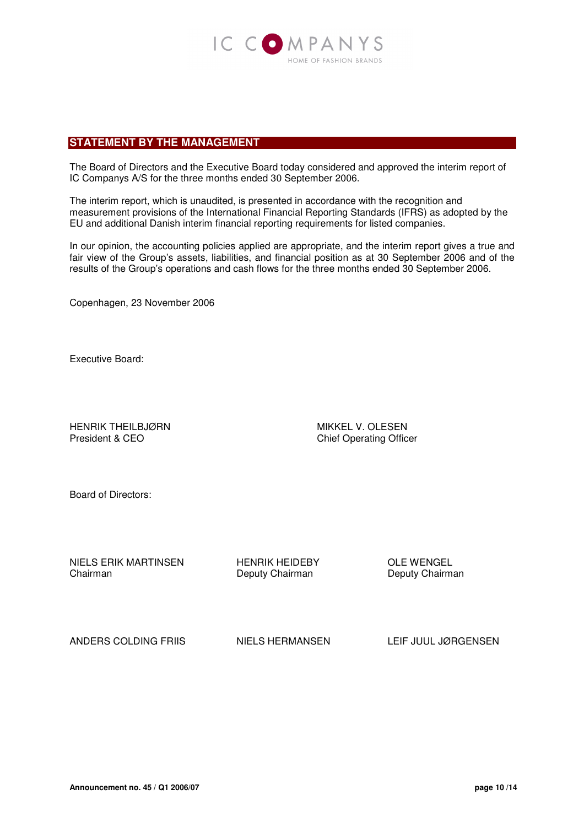

#### **STATEMENT BY THE MANAGEMENT**

The Board of Directors and the Executive Board today considered and approved the interim report of IC Companys A/S for the three months ended 30 September 2006.

The interim report, which is unaudited, is presented in accordance with the recognition and measurement provisions of the International Financial Reporting Standards (IFRS) as adopted by the EU and additional Danish interim financial reporting requirements for listed companies.

In our opinion, the accounting policies applied are appropriate, and the interim report gives a true and fair view of the Group's assets, liabilities, and financial position as at 30 September 2006 and of the results of the Group's operations and cash flows for the three months ended 30 September 2006.

Copenhagen, 23 November 2006

Executive Board:

HENRIK THEILBJØRN MIKKEL V. OLESEN President & CEO Chief Operating Officer

Board of Directors:

NIELS ERIK MARTINSEN HENRIK HEIDEBY OLE WENGEL<br>Chairman Deputy Chairman Deputy Chairman

Deputy Chairman

ANDERS COLDING FRIIS NIELS HERMANSEN LEIF JUUL JØRGENSEN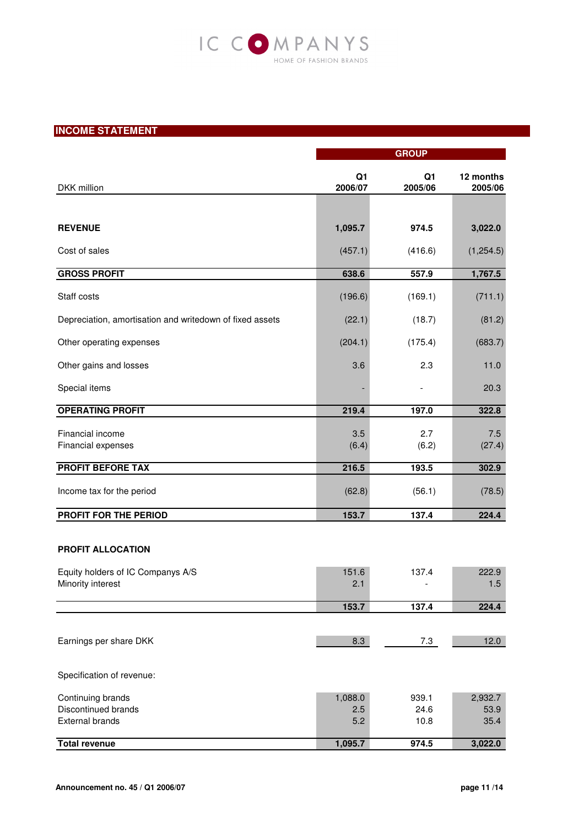# IC COMPANYS HOME OF FASHION BRANDS

# **INCOME STATEMENT**

|                                                          | <b>GROUP</b>              |                           |                      |
|----------------------------------------------------------|---------------------------|---------------------------|----------------------|
| DKK million                                              | Q <sub>1</sub><br>2006/07 | Q <sub>1</sub><br>2005/06 | 12 months<br>2005/06 |
|                                                          |                           |                           |                      |
| <b>REVENUE</b>                                           | 1,095.7                   | 974.5                     | 3,022.0              |
| Cost of sales                                            | (457.1)                   | (416.6)                   | (1, 254.5)           |
| <b>GROSS PROFIT</b>                                      | 638.6                     | 557.9                     | 1,767.5              |
| Staff costs                                              | (196.6)                   | (169.1)                   | (711.1)              |
| Depreciation, amortisation and writedown of fixed assets | (22.1)                    | (18.7)                    | (81.2)               |
| Other operating expenses                                 | (204.1)                   | (175.4)                   | (683.7)              |
| Other gains and losses                                   | 3.6                       | 2.3                       | 11.0                 |
| Special items                                            |                           |                           | 20.3                 |
| <b>OPERATING PROFIT</b>                                  | 219.4                     | 197.0                     | 322.8                |
| Financial income<br>Financial expenses                   | 3.5<br>(6.4)              | 2.7<br>(6.2)              | 7.5<br>(27.4)        |
| <b>PROFIT BEFORE TAX</b>                                 | 216.5                     | 193.5                     | 302.9                |
| Income tax for the period                                | (62.8)                    | (56.1)                    | (78.5)               |
| PROFIT FOR THE PERIOD                                    | 153.7                     | 137.4                     | 224.4                |
| PROFIT ALLOCATION                                        |                           |                           |                      |
| Equity holders of IC Companys A/S                        | 151.6                     | 137.4                     | 222.9                |
| Minority interest                                        | 2.1                       | $\overline{\phantom{a}}$  | 1.5                  |
|                                                          | 153.7                     | 137.4                     | 224.4                |
|                                                          |                           |                           |                      |
| Earnings per share DKK                                   | 8.3                       | 7.3                       | 12.0                 |
| Specification of revenue:                                |                           |                           |                      |
| Continuing brands                                        | 1,088.0                   | 939.1                     | 2,932.7              |
| Discontinued brands                                      | 2.5                       | 24.6                      | 53.9                 |
| <b>External brands</b>                                   | 5.2                       | 10.8                      | 35.4                 |
| <b>Total revenue</b>                                     | 1,095.7                   | 974.5                     | 3,022.0              |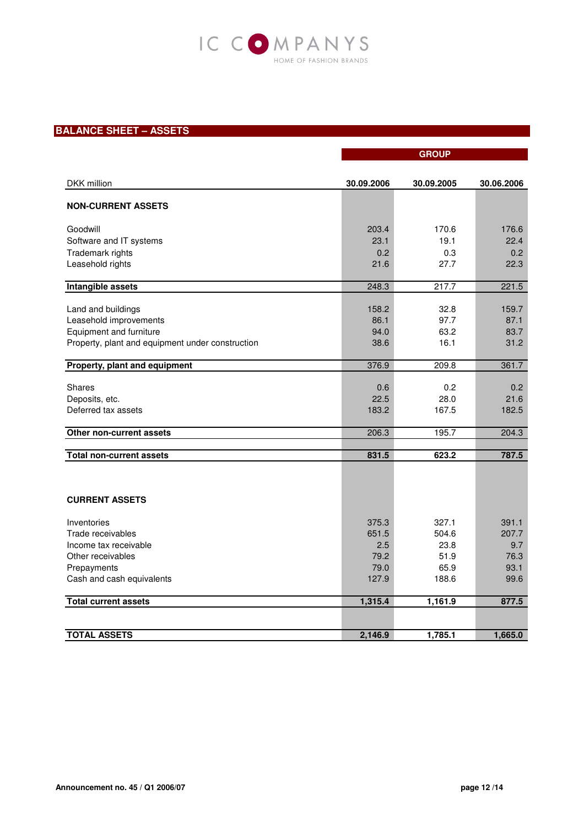

# **BALANCE SHEET – ASSETS**

|                                                  |            | <b>GROUP</b> |            |
|--------------------------------------------------|------------|--------------|------------|
|                                                  |            |              |            |
| DKK million                                      | 30.09.2006 | 30.09.2005   | 30.06.2006 |
|                                                  |            |              |            |
| <b>NON-CURRENT ASSETS</b>                        |            |              |            |
| Goodwill                                         | 203.4      | 170.6        | 176.6      |
| Software and IT systems                          | 23.1       | 19.1         | 22.4       |
| Trademark rights                                 | 0.2        | 0.3          | 0.2        |
| Leasehold rights                                 | 21.6       | 27.7         | 22.3       |
| Intangible assets                                | 248.3      | 217.7        | 221.5      |
|                                                  | 158.2      | 32.8         | 159.7      |
| Land and buildings<br>Leasehold improvements     | 86.1       | 97.7         | 87.1       |
| Equipment and furniture                          | 94.0       | 63.2         | 83.7       |
| Property, plant and equipment under construction | 38.6       | 16.1         | 31.2       |
|                                                  |            |              |            |
| Property, plant and equipment                    | 376.9      | 209.8        | 361.7      |
| <b>Shares</b>                                    | 0.6        | 0.2          | 0.2        |
| Deposits, etc.                                   | 22.5       | 28.0         | 21.6       |
| Deferred tax assets                              | 183.2      | 167.5        | 182.5      |
|                                                  |            |              |            |
| Other non-current assets                         | 206.3      | 195.7        | 204.3      |
| <b>Total non-current assets</b>                  | 831.5      | 623.2        | 787.5      |
|                                                  |            |              |            |
|                                                  |            |              |            |
| <b>CURRENT ASSETS</b>                            |            |              |            |
| Inventories                                      | 375.3      | 327.1        | 391.1      |
| Trade receivables                                | 651.5      | 504.6        | 207.7      |
| Income tax receivable                            | 2.5        | 23.8         | 9.7        |
| Other receivables                                | 79.2       | 51.9         | 76.3       |
| Prepayments                                      | 79.0       | 65.9         | 93.1       |
| Cash and cash equivalents                        | 127.9      | 188.6        | 99.6       |
| <b>Total current assets</b>                      | 1,315.4    | 1,161.9      | 877.5      |
|                                                  |            |              |            |
| <b>TOTAL ASSETS</b>                              | 2.146.9    | 1,785.1      | 1,665.0    |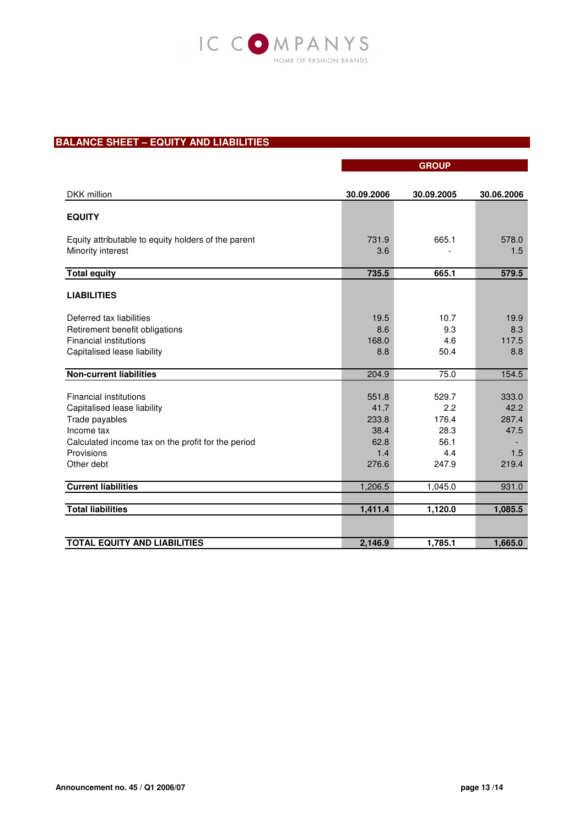

## **BALANCE SHEET – EQUITY AND LIABILITIES**

|                                                                          |              | <b>GROUP</b> |              |
|--------------------------------------------------------------------------|--------------|--------------|--------------|
|                                                                          |              |              |              |
| DKK million                                                              | 30.09.2006   | 30.09.2005   | 30.06.2006   |
| <b>EQUITY</b>                                                            |              |              |              |
| Equity attributable to equity holders of the parent<br>Minority interest | 731.9<br>3.6 | 665.1        | 578.0<br>1.5 |
| <b>Total equity</b>                                                      | 735.5        | 665.1        | 579.5        |
| <b>LIABILITIES</b>                                                       |              |              |              |
| Deferred tax liabilities                                                 | 19.5         | 10.7         | 19.9         |
| Retirement benefit obligations                                           | 8.6          | 9.3          | 8.3          |
| <b>Financial institutions</b>                                            | 168.0        | 4.6          | 117.5        |
| Capitalised lease liability                                              | 8.8          | 50.4         | 8.8          |
| <b>Non-current liabilities</b>                                           | 204.9        | 75.0         | 154.5        |
| <b>Financial institutions</b>                                            | 551.8        | 529.7        | 333.0        |
| Capitalised lease liability                                              | 41.7         | 2.2          | 42.2         |
| Trade payables                                                           | 233.8        | 176.4        | 287.4        |
| Income tax                                                               | 38.4         | 28.3         | 47.5         |
| Calculated income tax on the profit for the period                       | 62.8         | 56.1         |              |
| Provisions                                                               | 1.4          | 4.4          | 1.5          |
| Other debt                                                               | 276.6        | 247.9        | 219.4        |
| <b>Current liabilities</b>                                               | 1,206.5      | 1,045.0      | 931.0        |
| <b>Total liabilities</b>                                                 | 1,411.4      | 1,120.0      | 1,085.5      |
|                                                                          |              |              |              |
| <b>TOTAL EQUITY AND LIABILITIES</b>                                      | 2,146.9      | 1,785.1      | 1,665.0      |